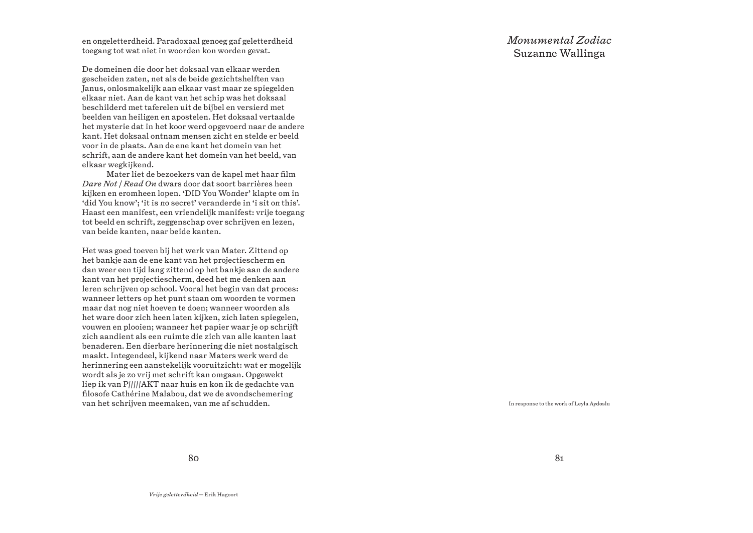en ongeletterdheid. Paradoxaal genoeg gaf geletterdheid toegang tot wat niet in woorden kon worden gevat.

De domeinen die door het doksaal van elkaar werden gescheiden zaten, net als de beide gezichtshelften van Janus, onlosmakelijk aan elkaar vast maar ze spiegelden elkaar niet. Aan de kant van het schip was het doksaal beschilderd met taferelen uit de bijbel en versierd met beelden van heiligen en apostelen. Het doksaal vertaalde het mysterie dat in het koor werd opgevoerd naar de andere kant. Het doksaal ontnam mensen zicht en stelde er beeld voor in de plaats. Aan de ene kant het domein van het schrift, aan de andere kant het domein van het beeld, van elkaar wegkijkend.

Mater liet de bezoekers van de kapel met haar film *Dare Not | Read On* dwars door dat soort barrières heen kijken en eromheen lopen. 'DID You Wonder' klapte om in 'did You know': 'it is no secret' veranderde in 'i sit on this'. Haast een manifest, een vriendelijk manifest: vrije toegang tot beeld en schrift, zeggenschap over schrijven en lezen, van beide kanten, naar beide kanten.

Het was goed toeven bij het werk van Mater. Zittend op het bankje aan de ene kant van het projectiescherm en dan weer een tijd lang zittend op het bankje aan de andere kant van het projectiescherm, deed het me denken aan leren schrijven op school. Vooral het begin van dat proces: wanneer letters op het punt staan om woorden te vormen maar dat nog niet hoeven te doen; wanneer woorden als het ware door zich heen laten kijken, zich laten spiegelen, vouwen en plooien; wanneer het papier waar je op schrijft zich aandient als een ruimte die zich van alle kanten laat benaderen. Een dierbare herinnering die niet nostalgisch maakt. Integendeel, kijkend naar Maters werk werd de herinnering een aanstekelijk vooruitzicht: wat er mogelijk wordt als je zo vrij met schrift kan omgaan. Opgewekt liep ik van P/////AKT naar huis en kon ik de gedachte van filosofe Cathérine Malabou, dat we de avondschemering van het schrijven meemaken, van me af schudden.

*Monumental Zodiac* Suzanne Wallinga

In response to the work of Leyla Aydoslu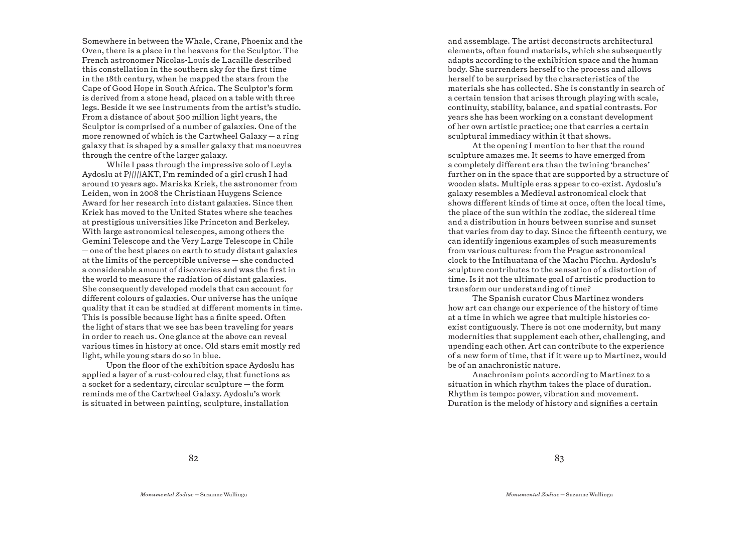Somewhere in between the Whale, Crane, Phoenix and the Oven, there is a place in the heavens for the Sculptor. The French astronomer Nicolas-Louis de Lacaille described this constellation in the southern sky for the first time in the 18th century, when he mapped the stars from the Cape of Good Hope in South Africa. The Sculptor's form is derived from a stone head, placed on a table with three legs. Beside it we see instruments from the artist's studio. From a distance of about 500 million light years, the Sculptor is comprised of a number of galaxies. One of the more renowned of which is the Cartwheel Galaxy — a ring galaxy that is shaped by a smaller galaxy that manoeuvres through the centre of the larger galaxy.

While I pass through the impressive solo of Leyla Aydoslu at P/////AKT, I'm reminded of a girl crush I had around 10 years ago. Mariska Kriek, the astronomer from Leiden, won in 2008 the Christiaan Huygens Science Award for her research into distant galaxies. Since then Kriek has moved to the United States where she teaches at prestigious universities like Princeton and Berkeley. With large astronomical telescopes, among others the Gemini Telescope and the Very Large Telescope in Chile — one of the best places on earth to study distant galaxies at the limits of the perceptible universe — she conducted a considerable amount of discoveries and was the first in the world to measure the radiation of distant galaxies. She consequently developed models that can account for diferent colours of galaxies. Our universe has the unique quality that it can be studied at diferent moments in time. This is possible because light has a finite speed. Often the light of stars that we see has been traveling for years in order to reach us. One glance at the above can reveal various times in history at once. Old stars emit mostly red light, while young stars do so in blue.

Upon the floor of the exhibition space Aydoslu has applied a layer of a rust-coloured clay, that functions as a socket for a sedentary, circular sculpture — the form reminds me of the Cartwheel Galaxy. Aydoslu's work is situated in between painting, sculpture, installation

and assemblage. The artist deconstructs architectural elements, often found materials, which she subsequently adapts according to the exhibition space and the human body. She surrenders herself to the process and allows herself to be surprised by the characteristics of the materials she has collected. She is constantly in search of a certain tension that arises through playing with scale, continuity, stability, balance, and spatial contrasts. For years she has been working on a constant development of her own artistic practice; one that carries a certain sculptural immediacy within it that shows.

At the opening I mention to her that the round sculpture amazes me. It seems to have emerged from a completely diferent era than the twining 'branches' further on in the space that are supported by a structure of wooden slats. Multiple eras appear to co-exist. Aydoslu's galaxy resembles a Medieval astronomical clock that shows diferent kinds of time at once, often the local time, the place of the sun within the zodiac, the sidereal time and a distribution in hours between sunrise and sunset that varies from day to day. Since the fifteenth century, we can identify ingenious examples of such measurements from various cultures: from the Prague astronomical clock to the Intihuatana of the Machu Picchu. Aydoslu's sculpture contributes to the sensation of a distortion of time. Is it not the ultimate goal of artistic production to transform our understanding of time?

The Spanish curator Chus Martinez wonders how art can change our experience of the history of time at a time in which we agree that multiple histories coexist contiguously. There is not one modernity, but many modernities that supplement each other, challenging, and upending each other. Art can contribute to the experience of a new form of time, that if it were up to Martinez, would be of an anachronistic nature.

Anachronism points according to Martinez to a situation in which rhythm takes the place of duration. Rhythm is tempo: power, vibration and movement. Duration is the melody of history and signifies a certain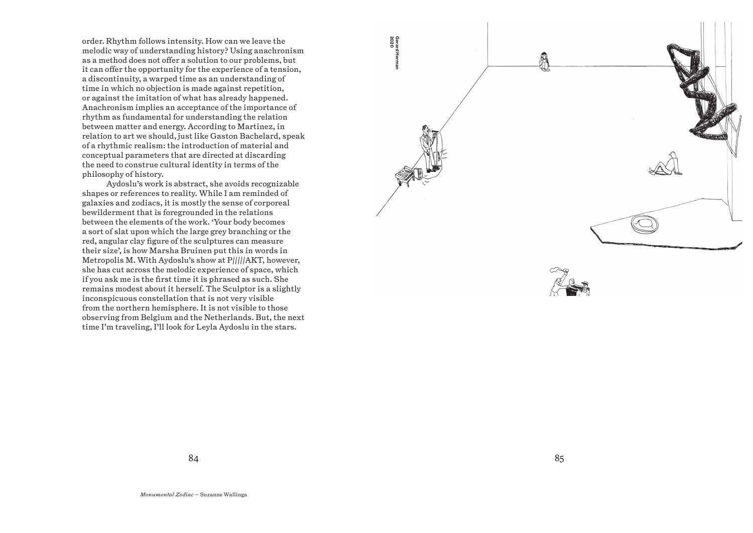order. Rhythm follows intensity. How can we leave the melodic way of understanding history? Using anachronism as a method does not o fer a solution to our problems, but it can offer the opportunity for the experience of a tension, a discontinuity, a warped time as an understanding of time in which no objection is made against repetition, or against the imitation of what has already happened. Anachronism implies an acceptance of the importance of rhythm as fundamental for understanding the relation between matter and energy. According to Martinez, in relation to art we should, just like Gaston Bachelard, speak of a rhythmic realism: the introduction of material and conceptual parameters that are directed at discarding the need to construe cultural identity in terms of the philosophy of history.

Aydoslu's work is abstract, she avoids recognizable shapes or references to reality. While I am reminded of galaxies and zodiacs, it is mostly the sense of corporeal bewilderment that is foregrounded in the relations between the elements of the work. 'Your body becomes a sort of slat upon which the large grey branching or the red, angular clay figure of the sculptures can measure their size', is how Marsha Bruinen put this in words in Metropolis M. With Aydoslu's show at P/////AKT, however, she has cut across the melodic experience of space, which if you ask me is the first time it is phrased as such. She remains modest about it herself. The Sculptor is a slightly inconspicuous constellation that is not very visible from the northern hemisphere. It is not visible to those observing from Belgium and the Netherlands. But, the next time I'm traveling, I'll look for Leyla Aydoslu in the stars.

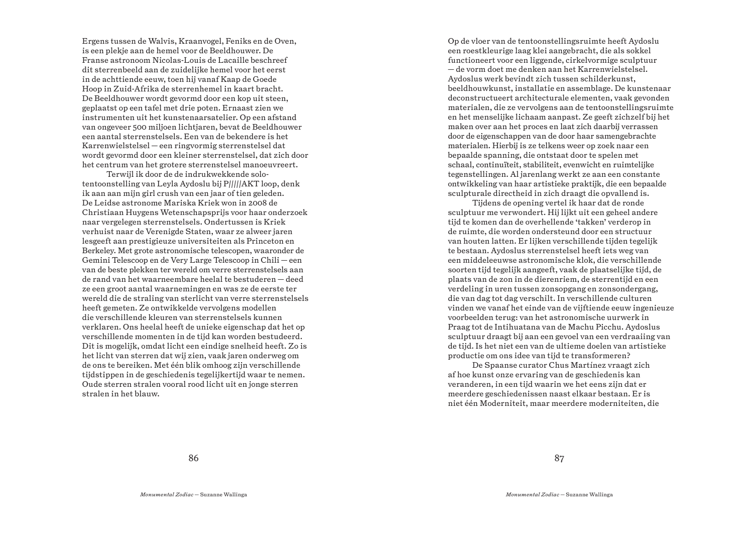Ergens tussen de Walvis, Kraanvogel, Feniks en de Oven, is een plekje aan de hemel voor de Beeldhouwer. De Franse astronoom Nicolas-Louis de Lacaille beschreef dit sterrenbeeld aan de zuidelijke hemel voor het eerst in de achttiende eeuw, toen hij vanaf Kaap de Goede Hoop in Zuid-Afrika de sterrenhemel in kaart bracht. De Beeldhouwer wordt gevormd door een kop uit steen, geplaatst op een tafel met drie poten. Ernaast zien we instrumenten uit het kunstenaarsatelier. Op een afstand van ongeveer 500 miljoen lichtjaren, bevat de Beeldhouwer een aantal sterrenstelsels. Een van de bekendere is het Karrenwielstelsel — een ringvormig sterrenstelsel dat wordt gevormd door een kleiner sterrenstelsel, dat zich door het centrum van het grotere sterrenstelsel manoeuvreert.

Terwijl ik door de de indrukwekkende solotentoonstelling van Leyla Aydoslu bij P/////AKT loop, denk ik aan aan mijn girl crush van een jaar of tien geleden. De Leidse astronome Mariska Kriek won in 2008 de Christiaan Huygens Wetenschapsprijs voor haar onderzoek naar vergelegen sterrenstelsels. Ondertussen is Kriek verhuist naar de Verenigde Staten, waar ze alweer jaren lesgeeft aan prestigieuze universiteiten als Princeton en Berkeley. Met grote astronomische telescopen, waaronder de Gemini Telescoop en de Very Large Telescoop in Chili — een van de beste plekken ter wereld om verre sterrenstelsels aan de rand van het waarneembare heelal te bestuderen — deed ze een groot aantal waarnemingen en was ze de eerste ter wereld die de straling van sterlicht van verre sterrenstelsels heeft gemeten. Ze ontwikkelde vervolgens modellen die verschillende kleuren van sterrenstelsels kunnen verklaren. Ons heelal heeft de unieke eigenschap dat het op verschillende momenten in de tijd kan worden bestudeerd. Dit is mogelijk, omdat licht een eindige snelheid heeft. Zo is het licht van sterren dat wij zien, vaak jaren onderweg om de ons te bereiken. Met één blik omhoog zijn verschillende tijdstippen in de geschiedenis tegelijkertijd waar te nemen. Oude sterren stralen vooral rood licht uit en jonge sterren stralen in het blauw.

Op de vloer van de tentoonstellingsruimte heeft Aydoslu een roestkleurige laag klei aangebracht, die als sokkel functioneert voor een liggende, cirkelvormige sculptuur — de vorm doet me denken aan het Karrenwielstelsel. Aydoslus werk bevindt zich tussen schilderkunst, beeldhouwkunst, installatie en assemblage. De kunstenaar deconstructueert architecturale elementen, vaak gevonden materialen, die ze vervolgens aan de tentoonstellingsruimte en het menselijke lichaam aanpast. Ze geeft zichzelf bij het maken over aan het proces en laat zich daarbij verrassen door de eigenschappen van de door haar samengebrachte materialen. Hierbij is ze telkens weer op zoek naar een bepaalde spanning, die ontstaat door te spelen met schaal, continuïteit, stabiliteit, evenwicht en ruimtelijke tegenstellingen. Al jarenlang werkt ze aan een constante ontwikkeling van haar artistieke praktijk, die een bepaalde sculpturale directheid in zich draagt die opvallend is.

Tijdens de opening vertel ik haar dat de ronde sculptuur me verwondert. Hij lijkt uit een geheel andere tijd te komen dan de overhellende 'takken' verderop in de ruimte, die worden ondersteund door een structuur van houten latten. Er lijken verschillende tijden tegelijk te bestaan. Aydoslus sterrenstelsel heeft iets weg van een middeleeuwse astronomische klok, die verschillende soorten tijd tegelijk aangeeft, vaak de plaatselijke tijd, de plaats van de zon in de dierenriem, de sterrentijd en een verdeling in uren tussen zonsopgang en zonsondergang, die van dag tot dag verschilt. In verschillende culturen vinden we vanaf het einde van de vijftiende eeuw ingenieuze voorbeelden terug: van het astronomische uurwerk in Praag tot de Intihuatana van de Machu Picchu. Aydoslus sculptuur draagt bij aan een gevoel van een verdraaiing van de tijd. Is het niet een van de ultieme doelen van artistieke productie om ons idee van tijd te transformeren?

De Spaanse curator Chus Martínez vraagt zich af hoe kunst onze ervaring van de geschiedenis kan veranderen, in een tijd waarin we het eens zijn dat er meerdere geschiedenissen naast elkaar bestaan. Er is niet één Moderniteit, maar meerdere moderniteiten, die